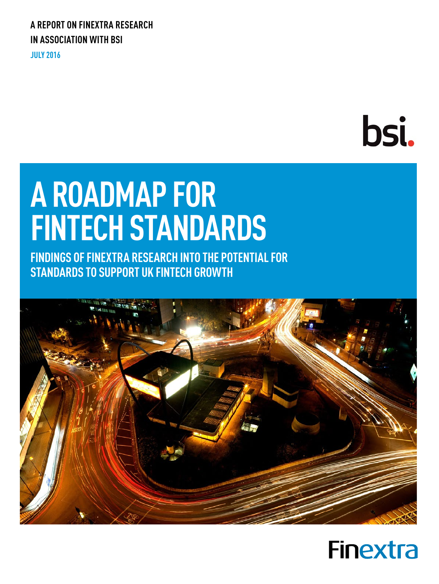### **A REPORT ON FINEXTRA RESEARCH IN ASSOCIATION WITH BSI**

**JULY 2016**

# bsi.

## **A ROADMAP FOR FINTECH STANDARDS**

**FINDINGS OF FINEXTRA RESEARCH INTO THE POTENTIAL FOR STANDARDS TO SUPPORT UK FINTECH GROWTH**



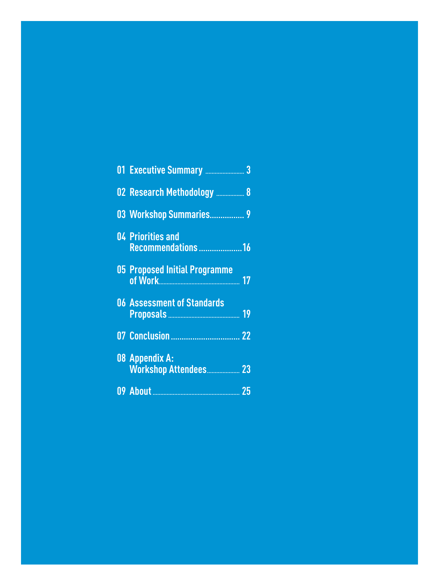| 02 Research Methodology  8              |
|-----------------------------------------|
| 03 Workshop Summaries 9                 |
| 04 Priorities and<br>Recommendations 16 |
| 05 Proposed Initial Programme           |
| <b>06 Assessment of Standards</b>       |
|                                         |
| 08 Appendix A:                          |
|                                         |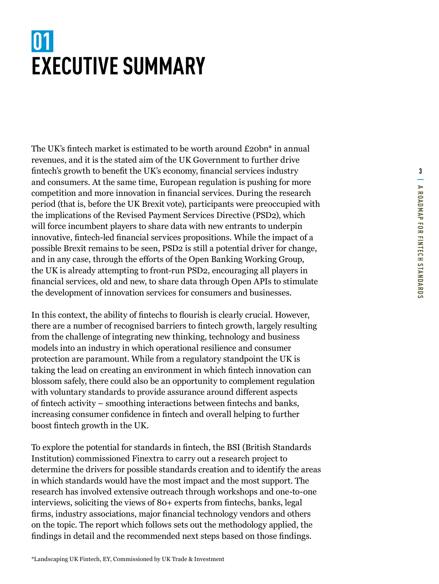### <span id="page-2-0"></span>**01 EXECUTIVE SUMMARY**

The UK's fintech market is estimated to be worth around £20bn\* in annual revenues, and it is the stated aim of the UK Government to further drive fintech's growth to benefit the UK's economy, financial services industry and consumers. At the same time, European regulation is pushing for more competition and more innovation in financial services. During the research period (that is, before the UK Brexit vote), participants were preoccupied with the implications of the Revised Payment Services Directive (PSD2), which will force incumbent players to share data with new entrants to underpin innovative, fintech-led financial services propositions. While the impact of a possible Brexit remains to be seen, PSD2 is still a potential driver for change, and in any case, through the efforts of the Open Banking Working Group, the UK is already attempting to front-run PSD2, encouraging all players in financial services, old and new, to share data through Open APIs to stimulate the development of innovation services for consumers and businesses.

In this context, the ability of fintechs to flourish is clearly crucial. However, there are a number of recognised barriers to fintech growth, largely resulting from the challenge of integrating new thinking, technology and business models into an industry in which operational resilience and consumer protection are paramount. While from a regulatory standpoint the UK is taking the lead on creating an environment in which fintech innovation can blossom safely, there could also be an opportunity to complement regulation with voluntary standards to provide assurance around different aspects of fintech activity – smoothing interactions between fintechs and banks, increasing consumer confidence in fintech and overall helping to further boost fintech growth in the UK.

To explore the potential for standards in fintech, the BSI (British Standards Institution) commissioned Finextra to carry out a research project to determine the drivers for possible standards creation and to identify the areas in which standards would have the most impact and the most support. The research has involved extensive outreach through workshops and one-to-one interviews, soliciting the views of 80+ experts from fintechs, banks, legal firms, industry associations, major financial technology vendors and others on the topic. The report which follows sets out the methodology applied, the findings in detail and the recommended next steps based on those findings.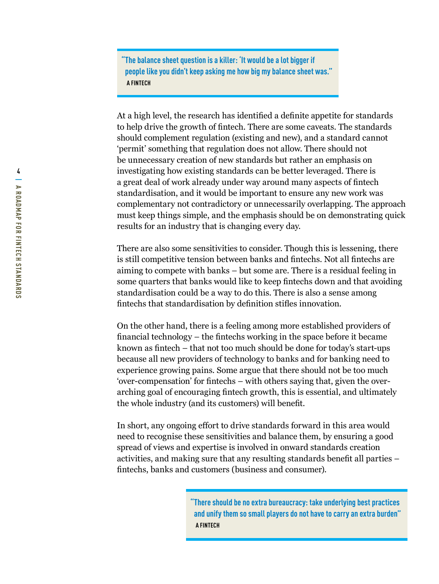**"The balance sheet question is a killer: 'It would be a lot bigger if people like you didn't keep asking me how big my balance sheet was." A FINTECH**

At a high level, the research has identified a definite appetite for standards to help drive the growth of fintech. There are some caveats. The standards should complement regulation (existing and new), and a standard cannot 'permit' something that regulation does not allow. There should not be unnecessary creation of new standards but rather an emphasis on investigating how existing standards can be better leveraged. There is a great deal of work already under way around many aspects of fintech standardisation, and it would be important to ensure any new work was complementary not contradictory or unnecessarily overlapping. The approach must keep things simple, and the emphasis should be on demonstrating quick results for an industry that is changing every day.

There are also some sensitivities to consider. Though this is lessening, there is still competitive tension between banks and fintechs. Not all fintechs are aiming to compete with banks – but some are. There is a residual feeling in some quarters that banks would like to keep fintechs down and that avoiding standardisation could be a way to do this. There is also a sense among fintechs that standardisation by definition stifles innovation.

On the other hand, there is a feeling among more established providers of financial technology – the fintechs working in the space before it became known as fintech – that not too much should be done for today's start-ups because all new providers of technology to banks and for banking need to experience growing pains. Some argue that there should not be too much 'over-compensation' for fintechs – with others saying that, given the overarching goal of encouraging fintech growth, this is essential, and ultimately the whole industry (and its customers) will benefit.

In short, any ongoing effort to drive standards forward in this area would need to recognise these sensitivities and balance them, by ensuring a good spread of views and expertise is involved in onward standards creation activities, and making sure that any resulting standards benefit all parties – fintechs, banks and customers (business and consumer).

> **"There should be no extra bureaucracy: take underlying best practices and unify them so small players do not have to carry an extra burden" A FINTECH**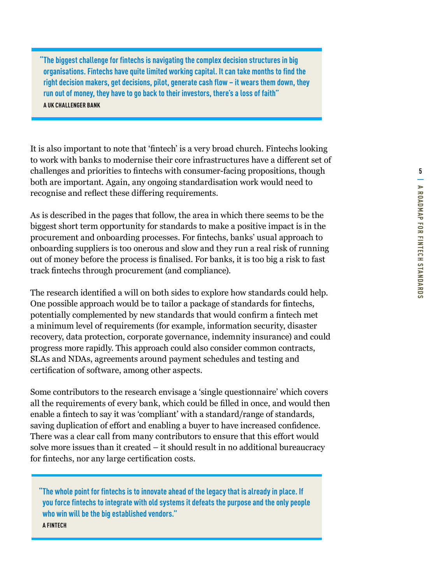**"The biggest challenge for fintechs is navigating the complex decision structures in big organisations. Fintechs have quite limited working capital. It can take months to find the right decision makers, get decisions, pilot, generate cash flow – it wears them down, they run out of money, they have to go back to their investors, there's a loss of faith" A UK CHALLENGER BANK**

It is also important to note that 'fintech' is a very broad church. Fintechs looking to work with banks to modernise their core infrastructures have a different set of challenges and priorities to fintechs with consumer-facing propositions, though both are important. Again, any ongoing standardisation work would need to recognise and reflect these differing requirements.

As is described in the pages that follow, the area in which there seems to be the biggest short term opportunity for standards to make a positive impact is in the procurement and onboarding processes. For fintechs, banks' usual approach to onboarding suppliers is too onerous and slow and they run a real risk of running out of money before the process is finalised. For banks, it is too big a risk to fast track fintechs through procurement (and compliance).

The research identified a will on both sides to explore how standards could help. One possible approach would be to tailor a package of standards for fintechs, potentially complemented by new standards that would confirm a fintech met a minimum level of requirements (for example, information security, disaster recovery, data protection, corporate governance, indemnity insurance) and could progress more rapidly. This approach could also consider common contracts, SLAs and NDAs, agreements around payment schedules and testing and certification of software, among other aspects.

Some contributors to the research envisage a 'single questionnaire' which covers all the requirements of every bank, which could be filled in once, and would then enable a fintech to say it was 'compliant' with a standard/range of standards, saving duplication of effort and enabling a buyer to have increased confidence. There was a clear call from many contributors to ensure that this effort would solve more issues than it created – it should result in no additional bureaucracy for fintechs, nor any large certification costs.

**"The whole point for fintechs is to innovate ahead of the legacy that is already in place. If you force fintechs to integrate with old systems it defeats the purpose and the only people who win will be the big established vendors." A FINTECH**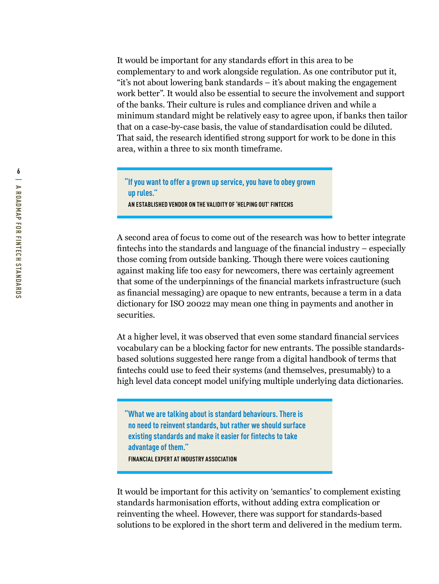It would be important for any standards effort in this area to be complementary to and work alongside regulation. As one contributor put it, "it's not about lowering bank standards – it's about making the engagement work better". It would also be essential to secure the involvement and support of the banks. Their culture is rules and compliance driven and while a minimum standard might be relatively easy to agree upon, if banks then tailor that on a case-by-case basis, the value of standardisation could be diluted. That said, the research identified strong support for work to be done in this area, within a three to six month timeframe.

**"If you want to offer a grown up service, you have to obey grown up rules." AN ESTABLISHED VENDOR ON THE VALIDITY OF 'HELPING OUT' FINTECHS** 

A second area of focus to come out of the research was how to better integrate fintechs into the standards and language of the financial industry – especially those coming from outside banking. Though there were voices cautioning against making life too easy for newcomers, there was certainly agreement that some of the underpinnings of the financial markets infrastructure (such as financial messaging) are opaque to new entrants, because a term in a data dictionary for ISO 20022 may mean one thing in payments and another in securities.

At a higher level, it was observed that even some standard financial services vocabulary can be a blocking factor for new entrants. The possible standardsbased solutions suggested here range from a digital handbook of terms that fintechs could use to feed their systems (and themselves, presumably) to a high level data concept model unifying multiple underlying data dictionaries.

**"What we are talking about is standard behaviours. There is no need to reinvent standards, but rather we should surface existing standards and make it easier for fintechs to take advantage of them." FINANCIAL EXPERT AT INDUSTRY ASSOCIATION**

It would be important for this activity on 'semantics' to complement existing standards harmonisation efforts, without adding extra complication or reinventing the wheel. However, there was support for standards-based solutions to be explored in the short term and delivered in the medium term.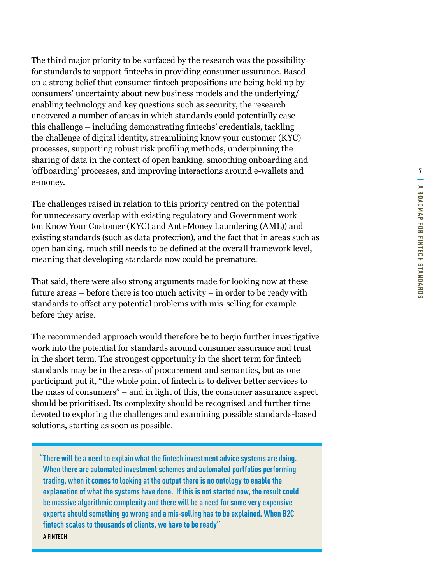The third major priority to be surfaced by the research was the possibility for standards to support fintechs in providing consumer assurance. Based on a strong belief that consumer fintech propositions are being held up by consumers' uncertainty about new business models and the underlying/ enabling technology and key questions such as security, the research uncovered a number of areas in which standards could potentially ease this challenge – including demonstrating fintechs' credentials, tackling the challenge of digital identity, streamlining know your customer (KYC) processes, supporting robust risk profiling methods, underpinning the sharing of data in the context of open banking, smoothing onboarding and 'offboarding' processes, and improving interactions around e-wallets and e-money.

The challenges raised in relation to this priority centred on the potential for unnecessary overlap with existing regulatory and Government work (on Know Your Customer (KYC) and Anti-Money Laundering (AML)) and existing standards (such as data protection), and the fact that in areas such as open banking, much still needs to be defined at the overall framework level, meaning that developing standards now could be premature.

That said, there were also strong arguments made for looking now at these future areas – before there is too much activity – in order to be ready with standards to offset any potential problems with mis-selling for example before they arise.

The recommended approach would therefore be to begin further investigative work into the potential for standards around consumer assurance and trust in the short term. The strongest opportunity in the short term for fintech standards may be in the areas of procurement and semantics, but as one participant put it, "the whole point of fintech is to deliver better services to the mass of consumers" – and in light of this, the consumer assurance aspect should be prioritised. Its complexity should be recognised and further time devoted to exploring the challenges and examining possible standards-based solutions, starting as soon as possible.

**"There will be a need to explain what the fintech investment advice systems are doing. When there are automated investment schemes and automated portfolios performing trading, when it comes to looking at the output there is no ontology to enable the explanation of what the systems have done. If this is not started now, the result could be massive algorithmic complexity and there will be a need for some very expensive experts should something go wrong and a mis-selling has to be explained. When B2C fintech scales to thousands of clients, we have to be ready" A FINTECH**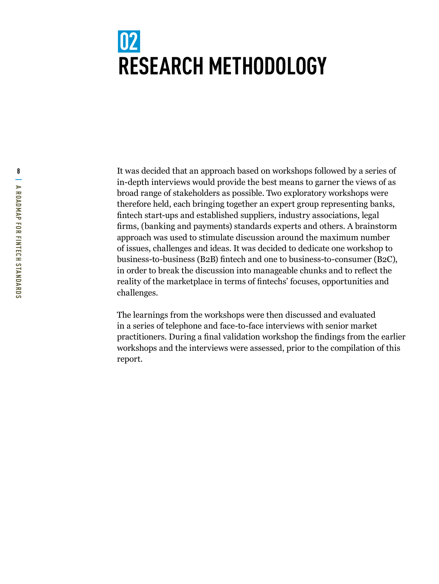### <span id="page-7-0"></span>**02 RESEARCH METHODOLOGY**

**8** It was decided that an approach based on workshops followed by a series of in-depth interviews would provide the best means to garner the views of as broad range of stakeholders as possible. Two exploratory workshops were therefore held, each bringing together an expert group representing banks, fintech start-ups and established suppliers, industry associations, legal firms, (banking and payments) standards experts and others. A brainstorm approach was used to stimulate discussion around the maximum number of issues, challenges and ideas. It was decided to dedicate one workshop to business-to-business (B2B) fintech and one to business-to-consumer (B2C), in order to break the discussion into manageable chunks and to reflect the reality of the marketplace in terms of fintechs' focuses, opportunities and challenges.

> The learnings from the workshops were then discussed and evaluated in a series of telephone and face-to-face interviews with senior market practitioners. During a final validation workshop the findings from the earlier workshops and the interviews were assessed, prior to the compilation of this report.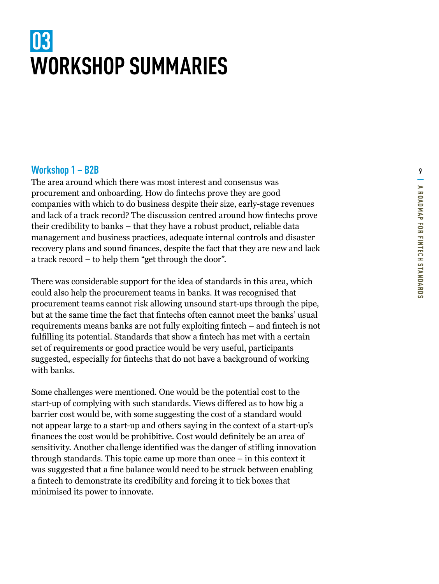### <span id="page-8-0"></span>**03 WORKSHOP SUMMARIES**

Workshop 1 – B2B<br>The area around which there was most interest and consensus was<br>procurement and onboarding. How do fintechs prove they are good<br>companies with which to do business despite their size, early-stage revenues The area around which there was most interest and consensus was procurement and onboarding. How do fintechs prove they are good companies with which to do business despite their size, early-stage revenues and lack of a track record? The discussion centred around how fintechs prove their credibility to banks – that they have a robust product, reliable data management and business practices, adequate internal controls and disaster recovery plans and sound finances, despite the fact that they are new and lack a track record – to help them "get through the door".

There was considerable support for the idea of standards in this area, which could also help the procurement teams in banks. It was recognised that procurement teams cannot risk allowing unsound start-ups through the pipe, but at the same time the fact that fintechs often cannot meet the banks' usual requirements means banks are not fully exploiting fintech – and fintech is not fulfilling its potential. Standards that show a fintech has met with a certain set of requirements or good practice would be very useful, participants suggested, especially for fintechs that do not have a background of working with banks.

Some challenges were mentioned. One would be the potential cost to the start-up of complying with such standards. Views differed as to how big a barrier cost would be, with some suggesting the cost of a standard would not appear large to a start-up and others saying in the context of a start-up's finances the cost would be prohibitive. Cost would definitely be an area of sensitivity. Another challenge identified was the danger of stifling innovation through standards. This topic came up more than once – in this context it was suggested that a fine balance would need to be struck between enabling a fintech to demonstrate its credibility and forcing it to tick boxes that minimised its power to innovate.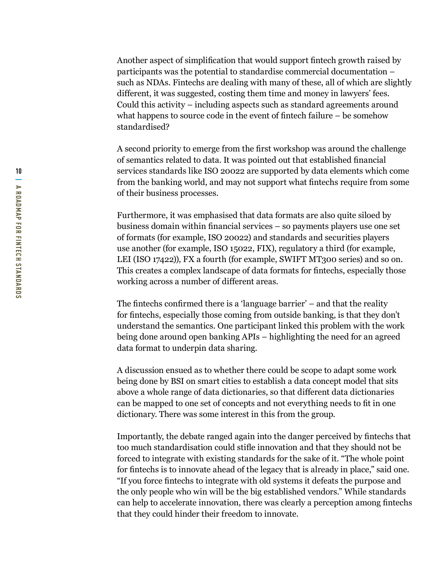Another aspect of simplification that would support fintech growth raised by participants was the potential to standardise commercial documentation – such as NDAs. Fintechs are dealing with many of these, all of which are slightly different, it was suggested, costing them time and money in lawyers' fees. Could this activity – including aspects such as standard agreements around what happens to source code in the event of fintech failure – be somehow standardised?

A second priority to emerge from the first workshop was around the challenge of semantics related to data. It was pointed out that established financial services standards like ISO 20022 are supported by data elements which come from the banking world, and may not support what fintechs require from some of their business processes.

Furthermore, it was emphasised that data formats are also quite siloed by business domain within financial services – so payments players use one set of formats (for example, ISO 20022) and standards and securities players use another (for example, ISO 15022, FIX), regulatory a third (for example, LEI (ISO 17422)), FX a fourth (for example, SWIFT MT300 series) and so on. This creates a complex landscape of data formats for fintechs, especially those working across a number of different areas.

The fintechs confirmed there is a 'language barrier' – and that the reality for fintechs, especially those coming from outside banking, is that they don't understand the semantics. One participant linked this problem with the work being done around open banking APIs – highlighting the need for an agreed data format to underpin data sharing.

A discussion ensued as to whether there could be scope to adapt some work being done by BSI on smart cities to establish a data concept model that sits above a whole range of data dictionaries, so that different data dictionaries can be mapped to one set of concepts and not everything needs to fit in one dictionary. There was some interest in this from the group.

Importantly, the debate ranged again into the danger perceived by fintechs that too much standardisation could stifle innovation and that they should not be forced to integrate with existing standards for the sake of it. "The whole point for fintechs is to innovate ahead of the legacy that is already in place," said one. "If you force fintechs to integrate with old systems it defeats the purpose and the only people who win will be the big established vendors." While standards can help to accelerate innovation, there was clearly a perception among fintechs that they could hinder their freedom to innovate.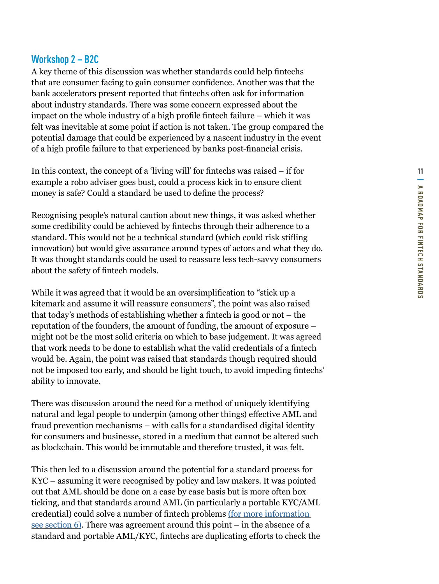#### **Workshop 2 – B2C**

A key theme of this discussion was whether standards could help fintechs that are consumer facing to gain consumer confidence. Another was that the bank accelerators present reported that fintechs often ask for information about industry standards. There was some concern expressed about the impact on the whole industry of a high profile fintech failure – which it was felt was inevitable at some point if action is not taken. The group compared the potential damage that could be experienced by a nascent industry in the event of a high profile failure to that experienced by banks post-financial crisis.

In this context, the concept of a 'living will' for fintechs was raised – if for example a robo adviser goes bust, could a process kick in to ensure client money is safe? Could a standard be used to define the process?

Recognising people's natural caution about new things, it was asked whether some credibility could be achieved by fintechs through their adherence to a standard. This would not be a technical standard (which could risk stifling innovation) but would give assurance around types of actors and what they do. It was thought standards could be used to reassure less tech-savvy consumers about the safety of fintech models.

While it was agreed that it would be an oversimplification to "stick up a kitemark and assume it will reassure consumers", the point was also raised that today's methods of establishing whether a fintech is good or not – the reputation of the founders, the amount of funding, the amount of exposure – might not be the most solid criteria on which to base judgement. It was agreed that work needs to be done to establish what the valid credentials of a fintech would be. Again, the point was raised that standards though required should not be imposed too early, and should be light touch, to avoid impeding fintechs' ability to innovate.

There was discussion around the need for a method of uniquely identifying natural and legal people to underpin (among other things) effective AML and fraud prevention mechanisms – with calls for a standardised digital identity for consumers and businesse, stored in a medium that cannot be altered such as blockchain. This would be immutable and therefore trusted, it was felt.

This then led to a discussion around the potential for a standard process for KYC – assuming it were recognised by policy and law makers. It was pointed out that AML should be done on a case by case basis but is more often box ticking, and that standards around AML (in particularly a portable KYC/AML credential) could solve a number of fintech problems [\(for more information](#page-18-0)  [see section 6\)](#page-18-0). There was agreement around this point – in the absence of a standard and portable AML/KYC, fintechs are duplicating efforts to check the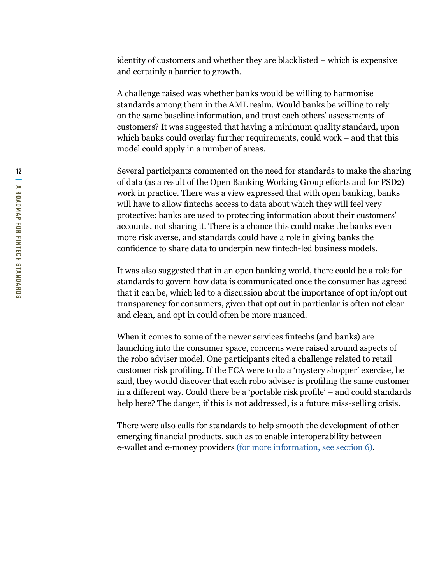identity of customers and whether they are blacklisted – which is expensive and certainly a barrier to growth.

A challenge raised was whether banks would be willing to harmonise standards among them in the AML realm. Would banks be willing to rely on the same baseline information, and trust each others' assessments of customers? It was suggested that having a minimum quality standard, upon which banks could overlay further requirements, could work – and that this model could apply in a number of areas.

Several participants commented on the need for standards to make the sharing of data (as a result of the Open Banking Working Group efforts and for PSD2) work in practice. There was a view expressed that with open banking, banks will have to allow fintechs access to data about which they will feel very protective: banks are used to protecting information about their customers' accounts, not sharing it. There is a chance this could make the banks even more risk averse, and standards could have a role in giving banks the confidence to share data to underpin new fintech-led business models.

It was also suggested that in an open banking world, there could be a role for standards to govern how data is communicated once the consumer has agreed that it can be, which led to a discussion about the importance of opt in/opt out transparency for consumers, given that opt out in particular is often not clear and clean, and opt in could often be more nuanced.

When it comes to some of the newer services fintechs (and banks) are launching into the consumer space, concerns were raised around aspects of the robo adviser model. One participants cited a challenge related to retail customer risk profiling. If the FCA were to do a 'mystery shopper' exercise, he said, they would discover that each robo adviser is profiling the same customer in a different way. Could there be a 'portable risk profile' – and could standards help here? The danger, if this is not addressed, is a future miss-selling crisis.

There were also calls for standards to help smooth the development of other emerging financial products, such as to enable interoperability between e-wallet and e-money provider[s \(for more information, see section 6\)](#page-18-0).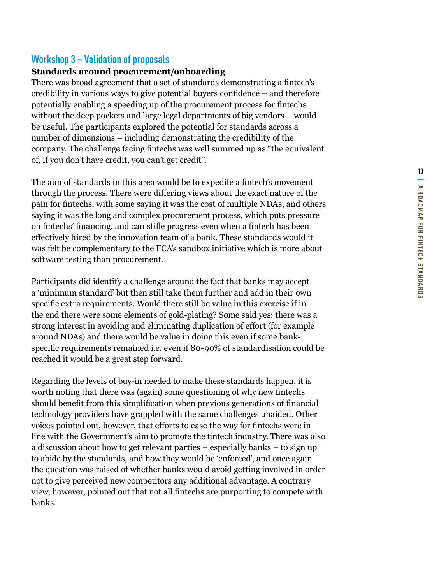#### **Workshop 3 – Validation of proposals**

#### **Standards around procurement/onboarding**

There was broad agreement that a set of standards demonstrating a fintech's credibility in various ways to give potential buyers confidence – and therefore potentially enabling a speeding up of the procurement process for fintechs without the deep pockets and large legal departments of big vendors – would be useful. The participants explored the potential for standards across a number of dimensions – including demonstrating the credibility of the company. The challenge facing fintechs was well summed up as "the equivalent of, if you don't have credit, you can't get credit".

The aim of standards in this area would be to expedite a fintech's movement through the process. There were differing views about the exact nature of the pain for fintechs, with some saying it was the cost of multiple NDAs, and others saying it was the long and complex procurement process, which puts pressure on fintechs' financing, and can stifle progress even when a fintech has been effectively hired by the innovation team of a bank. These standards would it was felt be complementary to the FCA's sandbox initiative which is more about software testing than procurement.

Participants did identify a challenge around the fact that banks may accept a 'minimum standard' but then still take them further and add in their own specific extra requirements. Would there still be value in this exercise if in the end there were some elements of gold-plating? Some said yes: there was a strong interest in avoiding and eliminating duplication of effort (for example around NDAs) and there would be value in doing this even if some bankspecific requirements remained i.e. even if 80-90% of standardisation could be reached it would be a great step forward.

Regarding the levels of buy-in needed to make these standards happen, it is worth noting that there was (again) some questioning of why new fintechs should benefit from this simplification when previous generations of financial technology providers have grappled with the same challenges unaided. Other voices pointed out, however, that efforts to ease the way for fintechs were in line with the Government's aim to promote the fintech industry. There was also a discussion about how to get relevant parties – especially banks – to sign up to abide by the standards, and how they would be 'enforced', and once again the question was raised of whether banks would avoid getting involved in order not to give perceived new competitors any additional advantage. A contrary view, however, pointed out that not all fintechs are purporting to compete with banks.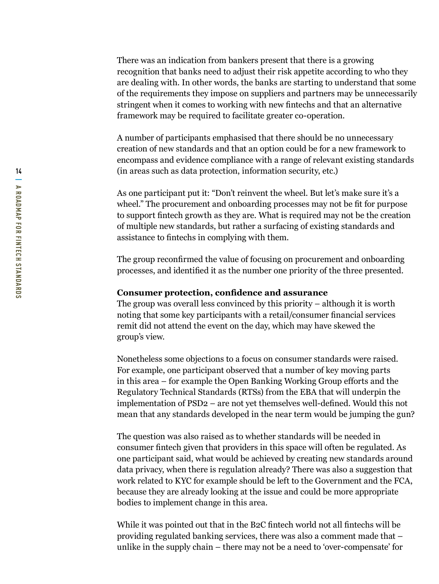There was an indication from bankers present that there is a growing recognition that banks need to adjust their risk appetite according to who they are dealing with. In other words, the banks are starting to understand that some of the requirements they impose on suppliers and partners may be unnecessarily stringent when it comes to working with new fintechs and that an alternative framework may be required to facilitate greater co-operation.

A number of participants emphasised that there should be no unnecessary creation of new standards and that an option could be for a new framework to encompass and evidence compliance with a range of relevant existing standards (in areas such as data protection, information security, etc.)

As one participant put it: "Don't reinvent the wheel. But let's make sure it's a wheel." The procurement and onboarding processes may not be fit for purpose to support fintech growth as they are. What is required may not be the creation of multiple new standards, but rather a surfacing of existing standards and assistance to fintechs in complying with them.

The group reconfirmed the value of focusing on procurement and onboarding processes, and identified it as the number one priority of the three presented.

#### **Consumer protection, confidence and assurance**

The group was overall less convinced by this priority – although it is worth noting that some key participants with a retail/consumer financial services remit did not attend the event on the day, which may have skewed the group's view.

Nonetheless some objections to a focus on consumer standards were raised. For example, one participant observed that a number of key moving parts in this area – for example the Open Banking Working Group efforts and the Regulatory Technical Standards (RTSs) from the EBA that will underpin the implementation of PSD2 – are not yet themselves well-defined. Would this not mean that any standards developed in the near term would be jumping the gun?

The question was also raised as to whether standards will be needed in consumer fintech given that providers in this space will often be regulated. As one participant said, what would be achieved by creating new standards around data privacy, when there is regulation already? There was also a suggestion that work related to KYC for example should be left to the Government and the FCA, because they are already looking at the issue and could be more appropriate bodies to implement change in this area.

While it was pointed out that in the B2C fintech world not all fintechs will be providing regulated banking services, there was also a comment made that – unlike in the supply chain – there may not be a need to 'over-compensate' for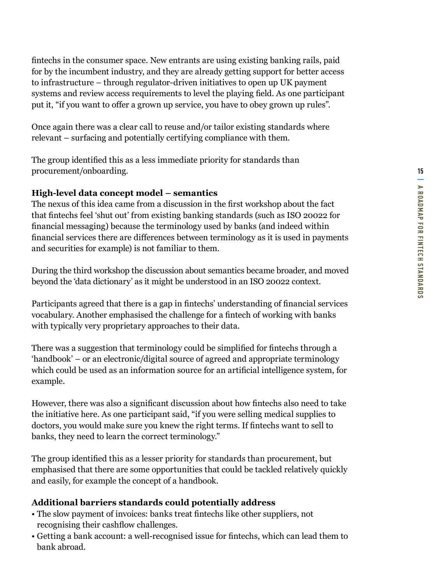fintechs in the consumer space. New entrants are using existing banking rails, paid for by the incumbent industry, and they are already getting support for better access to infrastructure – through regulator-driven initiatives to open up UK payment systems and review access requirements to level the playing field. As one participant put it, "if you want to offer a grown up service, you have to obey grown up rules".

Once again there was a clear call to reuse and/or tailor existing standards where relevant – surfacing and potentially certifying compliance with them.

The group identified this as a less immediate priority for standards than procurement/onboarding.

#### **High-level data concept model – semantics**

The nexus of this idea came from a discussion in the first workshop about the fact that fintechs feel 'shut out' from existing banking standards (such as ISO 20022 for financial messaging) because the terminology used by banks (and indeed within financial services there are differences between terminology as it is used in payments and securities for example) is not familiar to them.

During the third workshop the discussion about semantics became broader, and moved beyond the 'data dictionary' as it might be understood in an ISO 20022 context.

Participants agreed that there is a gap in fintechs' understanding of financial services vocabulary. Another emphasised the challenge for a fintech of working with banks with typically very proprietary approaches to their data.

There was a suggestion that terminology could be simplified for fintechs through a 'handbook' – or an electronic/digital source of agreed and appropriate terminology which could be used as an information source for an artificial intelligence system, for example.

However, there was also a significant discussion about how fintechs also need to take the initiative here. As one participant said, "if you were selling medical supplies to doctors, you would make sure you knew the right terms. If fintechs want to sell to banks, they need to learn the correct terminology."

The group identified this as a lesser priority for standards than procurement, but emphasised that there are some opportunities that could be tackled relatively quickly and easily, for example the concept of a handbook.

#### **Additional barriers standards could potentially address**

- The slow payment of invoices: banks treat fintechs like other suppliers, not recognising their cashflow challenges.
- Getting a bank account: a well-recognised issue for fintechs, which can lead them to bank abroad.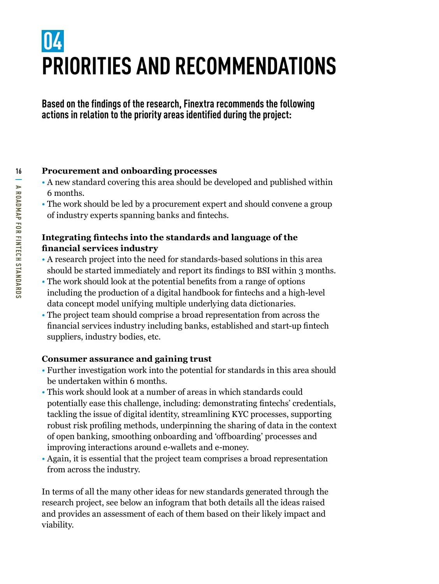### <span id="page-15-0"></span>**04 PRIORITIES AND RECOMMENDATIONS**

**Based on the findings of the research, Finextra recommends the following actions in relation to the priority areas identified during the project:**

#### **16 Procurement and onboarding processes**

- A new standard covering this area should be developed and published within 6 months.
- The work should be led by a procurement expert and should convene a group of industry experts spanning banks and fintechs.

#### **Integrating fintechs into the standards and language of the financial services industry**

- A research project into the need for standards-based solutions in this area should be started immediately and report its findings to BSI within 3 months.
- The work should look at the potential benefits from a range of options including the production of a digital handbook for fintechs and a high-level data concept model unifying multiple underlying data dictionaries.
- The project team should comprise a broad representation from across the financial services industry including banks, established and start-up fintech suppliers, industry bodies, etc.

#### **Consumer assurance and gaining trust**

- Further investigation work into the potential for standards in this area should be undertaken within 6 months.
- This work should look at a number of areas in which standards could potentially ease this challenge, including: demonstrating fintechs' credentials, tackling the issue of digital identity, streamlining KYC processes, supporting robust risk profiling methods, underpinning the sharing of data in the context of open banking, smoothing onboarding and 'offboarding' processes and improving interactions around e-wallets and e-money.
- Again, it is essential that the project team comprises a broad representation from across the industry.

In terms of all the many other ideas for new standards generated through the research project, see below an infogram that both details all the ideas raised and provides an assessment of each of them based on their likely impact and viability.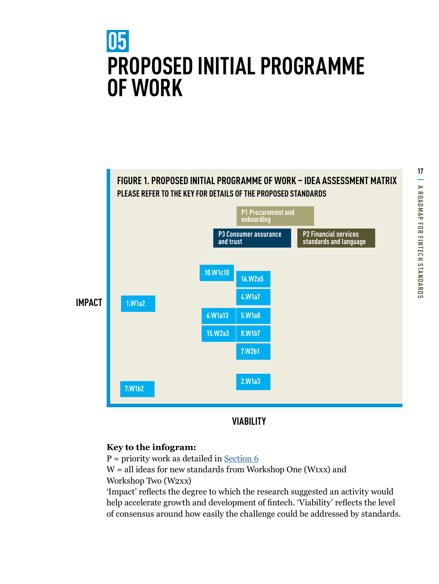### <span id="page-16-0"></span>**05 PROPOSED INITIAL PROGRAMME OF WORK**



#### **VIABILITY**

#### **Key to the infogram:**

 $P =$  priority work as detailed in [Section 6](#page-18-0)

 $W =$  all ideas for new standards from Workshop One (W1xx) and Workshop Two (W2xx)

'Impact' reflects the degree to which the research suggested an activity would help accelerate growth and development of fintech. 'Viability' reflects the level of consensus around how easily the challenge could be addressed by standards.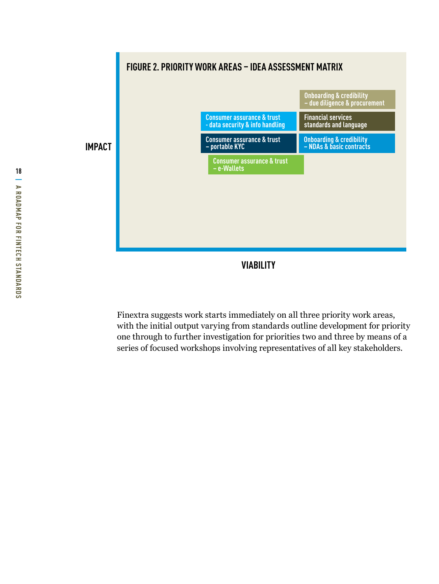

**VIABILITY**

Finextra suggests work starts immediately on all three priority work areas, with the initial output varying from standards outline development for priority one through to further investigation for priorities two and three by means of a series of focused workshops involving representatives of all key stakeholders.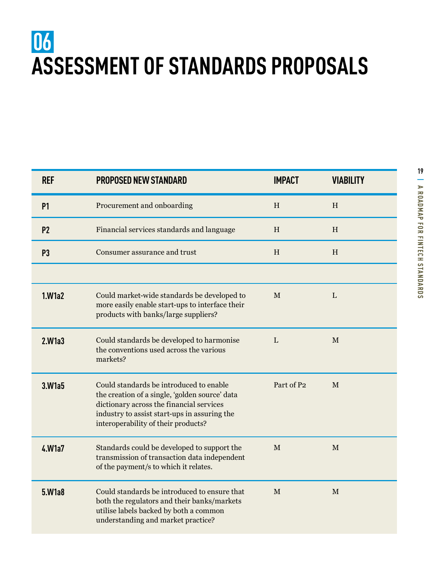### <span id="page-18-0"></span>**06 ASSESSMENT OF STANDARDS PROPOSALS**

| <b>REF</b>     | <b>PROPOSED NEW STANDARD</b>                                                                                                                                                                                                 | <b>IMPACT</b> | <b>VIABILITY</b> |  |
|----------------|------------------------------------------------------------------------------------------------------------------------------------------------------------------------------------------------------------------------------|---------------|------------------|--|
| <b>P1</b>      | Procurement and onboarding                                                                                                                                                                                                   | $\,$ H        | H                |  |
| P <sub>2</sub> | Financial services standards and language                                                                                                                                                                                    | H             | H                |  |
| P <sub>3</sub> | Consumer assurance and trust                                                                                                                                                                                                 | $\, {\rm H}$  | H                |  |
|                |                                                                                                                                                                                                                              |               |                  |  |
| 1.W1a2         | Could market-wide standards be developed to<br>more easily enable start-ups to interface their<br>products with banks/large suppliers?                                                                                       | $\mathbf{M}$  | L                |  |
| 2.W1a3         | Could standards be developed to harmonise<br>the conventions used across the various<br>markets?                                                                                                                             | L             | $\mathbf M$      |  |
| 3.W1a5         | Could standards be introduced to enable<br>the creation of a single, 'golden source' data<br>dictionary across the financial services<br>industry to assist start-ups in assuring the<br>interoperability of their products? | Part of P2    | M                |  |
| 4.W1a7         | Standards could be developed to support the<br>transmission of transaction data independent<br>of the payment/s to which it relates.                                                                                         | M             | M                |  |
| 5.W1a8         | Could standards be introduced to ensure that<br>both the regulators and their banks/markets<br>utilise labels backed by both a common<br>understanding and market practice?                                                  | M             | M                |  |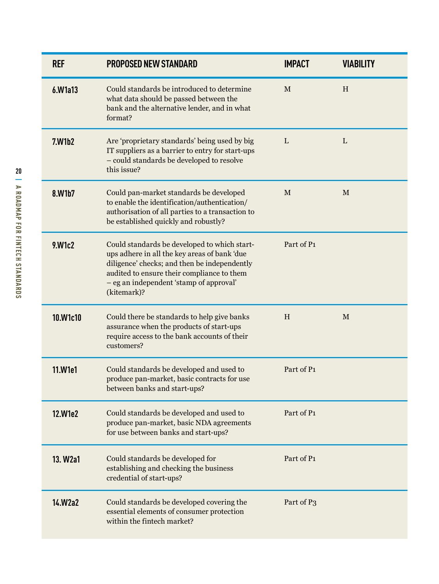| <b>REF</b>           | <b>PROPOSED NEW STANDARD</b>                                                                                                                                                                                                                         | <b>IMPACT</b> | <b>VIABILITY</b> |
|----------------------|------------------------------------------------------------------------------------------------------------------------------------------------------------------------------------------------------------------------------------------------------|---------------|------------------|
| 6.W1a13              | Could standards be introduced to determine<br>what data should be passed between the<br>bank and the alternative lender, and in what<br>format?                                                                                                      | M             | H                |
| 7.W1b2               | Are 'proprietary standards' being used by big<br>IT suppliers as a barrier to entry for start-ups<br>- could standards be developed to resolve<br>this issue?                                                                                        | L             | L                |
| 8.W1b7               | Could pan-market standards be developed<br>to enable the identification/authentication/<br>authorisation of all parties to a transaction to<br>be established quickly and robustly?                                                                  | M             | M                |
| 9.W1c2               | Could standards be developed to which start-<br>ups adhere in all the key areas of bank 'due<br>diligence' checks; and then be independently<br>audited to ensure their compliance to them<br>- eg an independent 'stamp of approval'<br>(kitemark)? | Part of P1    |                  |
| 10.W1c10             | Could there be standards to help give banks<br>assurance when the products of start-ups<br>require access to the bank accounts of their<br>customers?                                                                                                | H             | M                |
| 11.W1e1              | Could standards be developed and used to<br>produce pan-market, basic contracts for use<br>between banks and start-ups?                                                                                                                              | Part of P1    |                  |
| 12.W1e2              | Could standards be developed and used to<br>produce pan-market, basic NDA agreements<br>for use between banks and start-ups?                                                                                                                         | Part of P1    |                  |
| 13. W <sub>2a1</sub> | Could standards be developed for<br>establishing and checking the business<br>credential of start-ups?                                                                                                                                               | Part of P1    |                  |
| 14.W2a2              | Could standards be developed covering the<br>essential elements of consumer protection<br>within the fintech market?                                                                                                                                 | Part of P3    |                  |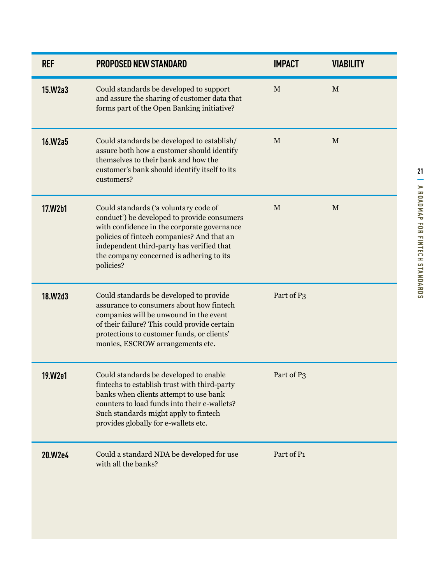| Could standards be developed to support<br>$\mathbf M$<br>$\mathbf{M}$<br>15.W2a3<br>and assure the sharing of customer data that<br>forms part of the Open Banking initiative?                                                                                                                                                  |  |
|----------------------------------------------------------------------------------------------------------------------------------------------------------------------------------------------------------------------------------------------------------------------------------------------------------------------------------|--|
| Could standards be developed to establish/<br>16.W2a5<br>$\mathbf M$<br>$\mathbf M$<br>assure both how a customer should identify<br>themselves to their bank and how the<br>customer's bank should identify itself to its<br>customers?                                                                                         |  |
| $\mathbf M$<br>Could standards ('a voluntary code of<br>$\mathbf M$<br>17.W2b1<br>conduct') be developed to provide consumers<br>with confidence in the corporate governance<br>policies of fintech companies? And that an<br>independent third-party has verified that<br>the company concerned is adhering to its<br>policies? |  |
| Part of P3<br>Could standards be developed to provide<br>18.W2d3<br>assurance to consumers about how fintech<br>companies will be unwound in the event<br>of their failure? This could provide certain<br>protections to customer funds, or clients'<br>monies, ESCROW arrangements etc.                                         |  |
| Part of P3<br>Could standards be developed to enable<br>19.W2e1<br>fintechs to establish trust with third-party<br>banks when clients attempt to use bank<br>counters to load funds into their e-wallets?<br>Such standards might apply to fintech<br>provides globally for e-wallets etc.                                       |  |
| Part of P1<br>Could a standard NDA be developed for use<br>20.W2e4<br>with all the banks?                                                                                                                                                                                                                                        |  |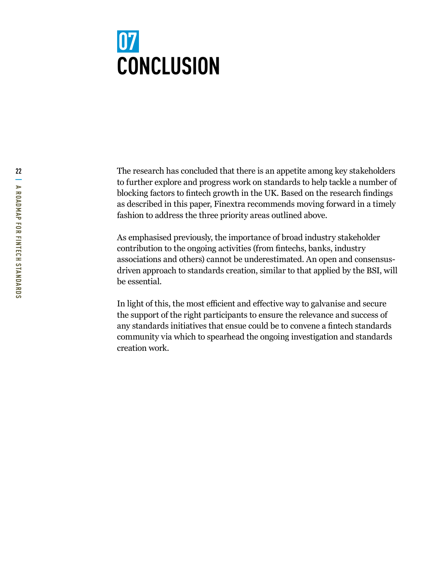### <span id="page-21-0"></span>**07 CONCLUSION**

The research has concluded that there is an appetite among key stakeholders to further explore and progress work on standards to help tackle a number of blocking factors to fintech growth in the UK. Based on the research findings as described in this paper, Finextra recommends moving forward in a timely fashion to address the three priority areas outlined above.

As emphasised previously, the importance of broad industry stakeholder contribution to the ongoing activities (from fintechs, banks, industry associations and others) cannot be underestimated. An open and consensusdriven approach to standards creation, similar to that applied by the BSI, will be essential.

In light of this, the most efficient and effective way to galvanise and secure the support of the right participants to ensure the relevance and success of any standards initiatives that ensue could be to convene a fintech standards community via which to spearhead the ongoing investigation and standards creation work.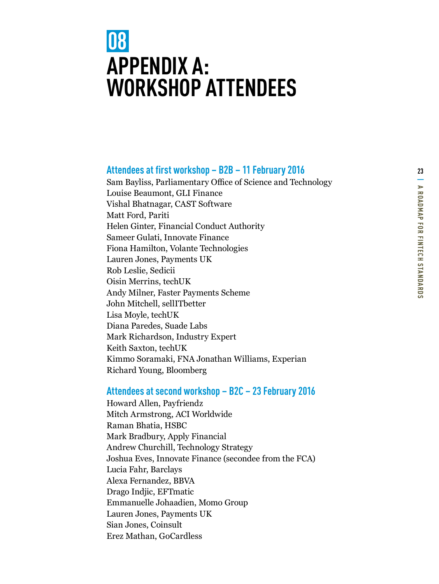### <span id="page-22-0"></span>**08 APPENDIX A: WORKSHOP ATTENDEES**

#### **Attendees at first workshop – B2B – 11 February 2016 <sup>23</sup>**

Sam Bayliss, Parliamentary Office of Science and Technology Louise Beaumont, GLI Finance Vishal Bhatnagar, CAST Software Matt Ford, Pariti Helen Ginter, Financial Conduct Authority Sameer Gulati, Innovate Finance Fiona Hamilton, Volante Technologies Lauren Jones, Payments UK Rob Leslie, Sedicii Oisin Merrins, techUK Andy Milner, Faster Payments Scheme John Mitchell, sellITbetter Lisa Moyle, techUK Diana Paredes, Suade Labs Mark Richardson, Industry Expert Keith Saxton, techUK Kimmo Soramaki, FNA Jonathan Williams, Experian Richard Young, Bloomberg

#### **Attendees at second workshop – B2C – 23 February 2016**

Howard Allen, Payfriendz Mitch Armstrong, ACI Worldwide Raman Bhatia, HSBC Mark Bradbury, Apply Financial Andrew Churchill, Technology Strategy Joshua Eves, Innovate Finance (secondee from the FCA) Lucia Fahr, Barclays Alexa Fernandez, BBVA Drago Indjic, EFTmatic Emmanuelle Johaadien, Momo Group Lauren Jones, Payments UK Sian Jones, Coinsult Erez Mathan, GoCardless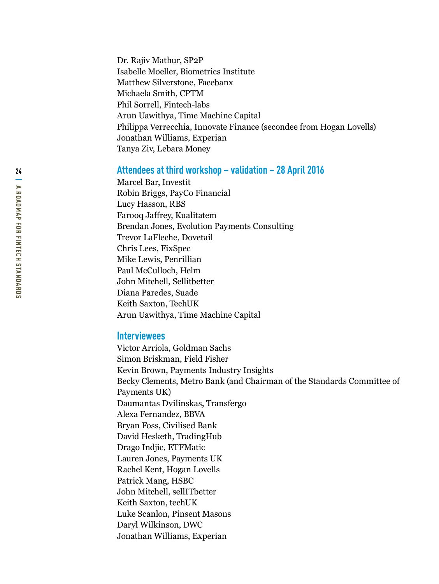Dr. Rajiv Mathur, SP2P Isabelle Moeller, Biometrics Institute Matthew Silverstone, Facebanx Michaela Smith, CPTM Phil Sorrell, Fintech-labs Arun Uawithya, Time Machine Capital Philippa Verrecchia, Innovate Finance (secondee from Hogan Lovells) Jonathan Williams, Experian Tanya Ziv, Lebara Money

#### **Attendees at third workshop – validation – 28 April 2016**

Marcel Bar, Investit Robin Briggs, PayCo Financial Lucy Hasson, RBS Farooq Jaffrey, Kualitatem Brendan Jones, Evolution Payments Consulting Trevor LaFleche, Dovetail Chris Lees, FixSpec Mike Lewis, Penrillian Paul McCulloch, Helm John Mitchell, Sellitbetter Diana Paredes, Suade Keith Saxton, TechUK Arun Uawithya, Time Machine Capital

#### **Interviewees**

Victor Arriola, Goldman Sachs Simon Briskman, Field Fisher Kevin Brown, Payments Industry Insights Becky Clements, Metro Bank (and Chairman of the Standards Committee of Payments UK) Daumantas Dvilinskas, Transfergo Alexa Fernandez, BBVA Bryan Foss, Civilised Bank David Hesketh, TradingHub Drago Indjic, ETFMatic Lauren Jones, Payments UK Rachel Kent, Hogan Lovells Patrick Mang, HSBC John Mitchell, sellITbetter Keith Saxton, techUK Luke Scanlon, Pinsent Masons Daryl Wilkinson, DWC Jonathan Williams, Experian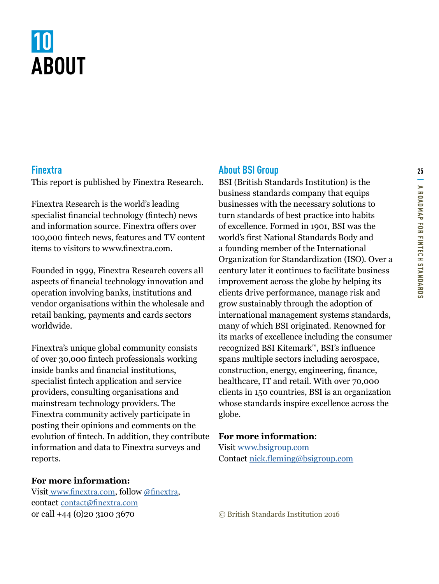## <span id="page-24-0"></span>**10 ABOUT**

#### **Finextra**

This report is published by Finextra Research.

Finextra Research is the world's leading specialist financial technology (fintech) news and information source. Finextra offers over 100,000 fintech news, features and TV content items to visitors to www.finextra.com.

Founded in 1999, Finextra Research covers all aspects of financial technology innovation and operation involving banks, institutions and vendor organisations within the wholesale and retail banking, payments and cards sectors worldwide.

Finextra's unique global community consists of over 30,000 fintech professionals working inside banks and financial institutions, specialist fintech application and service providers, consulting organisations and mainstream technology providers. The Finextra community actively participate in posting their opinions and comments on the evolution of fintech. In addition, they contribute information and data to Finextra surveys and reports.

#### **For more information:**

Visit [www.finextra.com](http://softwarestrategiesblog.com/tag/cloud-computing-forecasts/), follow [@finextra](http://softwarestrategiesblog.com/tag/cloud-computing-forecasts/), contact [contact@finextra.com](http://softwarestrategiesblog.com/tag/cloud-computing-forecasts/) or call +44 (0)20 3100 3670

#### **About BSI Group**

BSI (British Standards Institution) is the business standards company that equips businesses with the necessary solutions to turn standards of best practice into habits of excellence. Formed in 1901, BSI was the world's first National Standards Body and a founding member of the International Organization for Standardization (ISO). Over a century later it continues to facilitate business improvement across the globe by helping its clients drive performance, manage risk and grow sustainably through the adoption of international management systems standards, many of which BSI originated. Renowned for its marks of excellence including the consumer recognized BSI Kitemark™, BSI's influence spans multiple sectors including aerospace, construction, energy, engineering, finance, healthcare, IT and retail. With over 70,000 clients in 150 countries, BSI is an organization whose standards inspire excellence across the globe.

#### **For more information**:

Visit [www.bsigroup.com](http://www.bsigroup.com) Contact nick.fleming@bsigroup.com

© British Standards Institution 2016